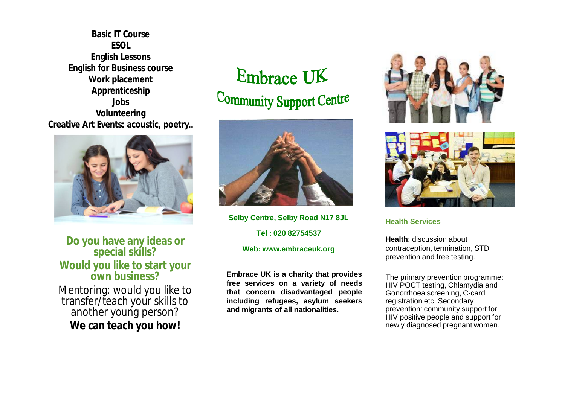**Basic IT Course ESOL English Lessons English for Business course Work placement Apprenticeship Jobs Volunteering Creative Art Events: acoustic, poetry..**



**Do you have any ideas or special skills? Would you like to start your own business?**

Mentoring: would you like to transfer/teach your skills to another young person? **We can teach you how!**

Embrace UK Community Support Centre



**Selby Centre, Selby Road N17 8JL Tel : 020 82754537 Web: [www.embraceuk.org](http://www.embraceuk.org)**

**Embrace UK is a charity that provides free services on a variety of needs that concern disadvantaged people including refugees, asylum seekers and migrants of all nationalities.**





**Health Services** 

**Health**: discussion about contraception, termination, STD prevention and free testing.

The primary prevention programme: HIV POCT testing, Chlamydia and Gonorrhoea screening, C-card registration etc. Secondary prevention: community support for HIV positive people and support for newly diagnosed pregnant women.